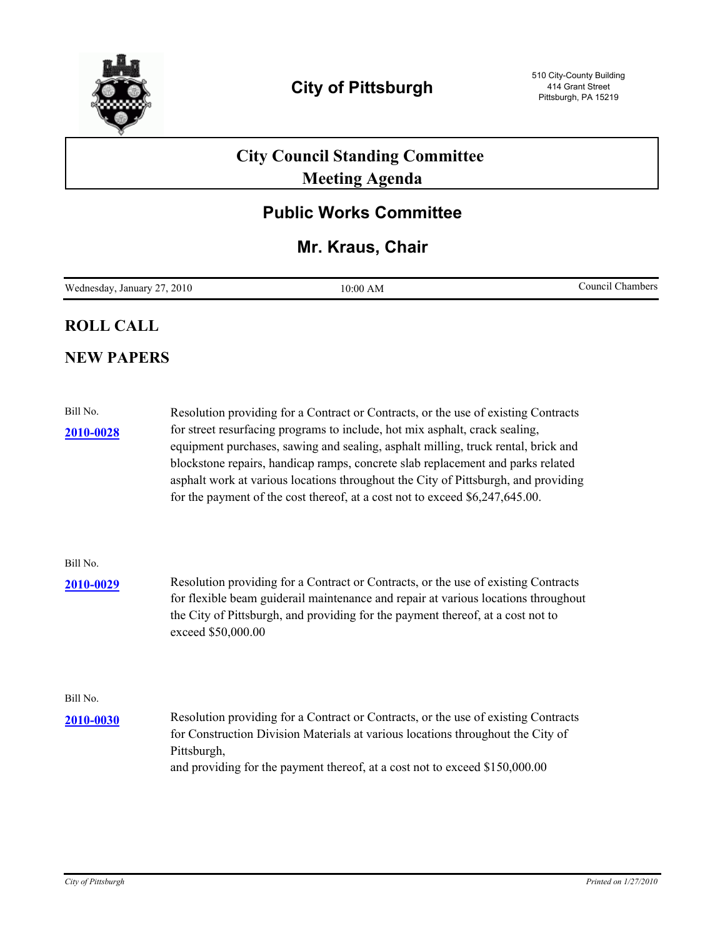

# **City Council Standing Committee Meeting Agenda**

## **Public Works Committee**

### **Mr. Kraus, Chair**

| Wednesday,<br>.2010<br>$\sim$<br>January | 10:00 AM | Council<br>Chambers |
|------------------------------------------|----------|---------------------|
|------------------------------------------|----------|---------------------|

#### **ROLL CALL**

### **NEW PAPERS**

| Bill No.  | Resolution providing for a Contract or Contracts, or the use of existing Contracts                                                                                                                                                                                                                                                                                                                                        |
|-----------|---------------------------------------------------------------------------------------------------------------------------------------------------------------------------------------------------------------------------------------------------------------------------------------------------------------------------------------------------------------------------------------------------------------------------|
| 2010-0028 | for street resurfacing programs to include, hot mix asphalt, crack sealing,<br>equipment purchases, sawing and sealing, asphalt milling, truck rental, brick and<br>blockstone repairs, handicap ramps, concrete slab replacement and parks related<br>asphalt work at various locations throughout the City of Pittsburgh, and providing<br>for the payment of the cost thereof, at a cost not to exceed \$6,247,645.00. |
| Bill No.  |                                                                                                                                                                                                                                                                                                                                                                                                                           |
| 2010-0029 | Resolution providing for a Contract or Contracts, or the use of existing Contracts<br>for flexible beam guiderail maintenance and repair at various locations throughout<br>the City of Pittsburgh, and providing for the payment thereof, at a cost not to<br>exceed \$50,000.00                                                                                                                                         |
| Bill No.  |                                                                                                                                                                                                                                                                                                                                                                                                                           |
| 2010-0030 | Resolution providing for a Contract or Contracts, or the use of existing Contracts<br>for Construction Division Materials at various locations throughout the City of<br>Pittsburgh,<br>and providing for the payment thereof, at a cost not to exceed \$150,000.00                                                                                                                                                       |